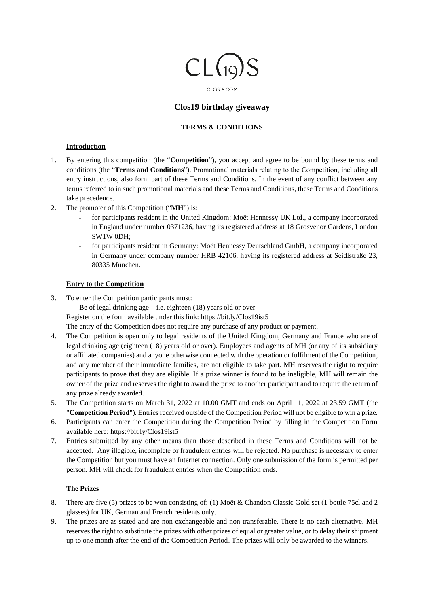

CLOSI9.COM

# **Clos19 birthday giveaway**

## **TERMS & CONDITIONS**

## **Introduction**

- 1. By entering this competition (the "**Competition**"), you accept and agree to be bound by these terms and conditions (the "**Terms and Conditions**"). Promotional materials relating to the Competition, including all entry instructions, also form part of these Terms and Conditions. In the event of any conflict between any terms referred to in such promotional materials and these Terms and Conditions, these Terms and Conditions take precedence.
- 2. The promoter of this Competition ("**MH**") is:
	- for participants resident in the United Kingdom: Moët Hennessy UK Ltd., a company incorporated in England under number 0371236, having its registered address at 18 Grosvenor Gardens, London SW1W 0DH;
	- for participants resident in Germany: Moët Hennessy Deutschland GmbH, a company incorporated in Germany under company number HRB 42106, having its registered address at Seidlstraße 23, 80335 München.

## **Entry to the Competition**

- 3. To enter the Competition participants must:
	- Be of legal drinking age i.e. eighteen  $(18)$  years old or over

Register on the form available under this link: https://bit.ly/Clos19ist5

The entry of the Competition does not require any purchase of any product or payment.

- 4. The Competition is open only to legal residents of the United Kingdom, Germany and France who are of legal drinking age (eighteen (18) years old or over). Employees and agents of MH (or any of its subsidiary or affiliated companies) and anyone otherwise connected with the operation or fulfilment of the Competition, and any member of their immediate families, are not eligible to take part. MH reserves the right to require participants to prove that they are eligible. If a prize winner is found to be ineligible, MH will remain the owner of the prize and reserves the right to award the prize to another participant and to require the return of any prize already awarded.
- 5. The Competition starts on March 31, 2022 at 10.00 GMT and ends on April 11, 2022 at 23.59 GMT (the "**Competition Period**"). Entries received outside of the Competition Period will not be eligible to win a prize.
- 6. Participants can enter the Competition during the Competition Period by filling in the Competition Form available here: https://bit.ly/Clos19ist5
- 7. Entries submitted by any other means than those described in these Terms and Conditions will not be accepted. Any illegible, incomplete or fraudulent entries will be rejected. No purchase is necessary to enter the Competition but you must have an Internet connection. Only one submission of the form is permitted per person. MH will check for fraudulent entries when the Competition ends.

# **The Prizes**

- 8. There are five (5) prizes to be won consisting of: (1) Moët & Chandon Classic Gold set (1 bottle 75cl and 2 glasses) for UK, German and French residents only.
- 9. The prizes are as stated and are non-exchangeable and non-transferable. There is no cash alternative. MH reserves the right to substitute the prizes with other prizes of equal or greater value, or to delay their shipment up to one month after the end of the Competition Period. The prizes will only be awarded to the winners.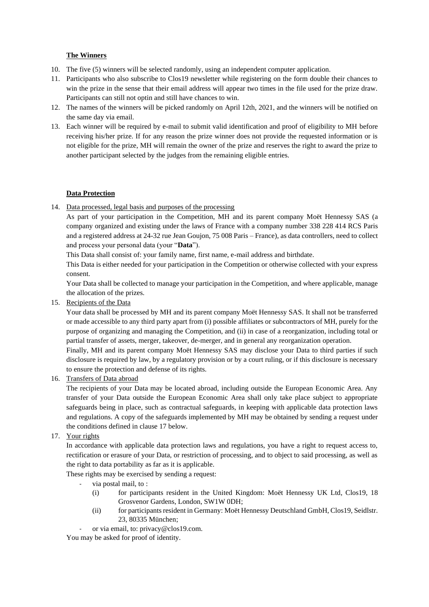# **The Winners**

- 10. The five (5) winners will be selected randomly, using an independent computer application.
- 11. Participants who also subscribe to Clos19 newsletter while registering on the form double their chances to win the prize in the sense that their email address will appear two times in the file used for the prize draw. Participants can still not optin and still have chances to win.
- 12. The names of the winners will be picked randomly on April 12th, 2021, and the winners will be notified on the same day via email.
- 13. Each winner will be required by e-mail to submit valid identification and proof of eligibility to MH before receiving his/her prize. If for any reason the prize winner does not provide the requested information or is not eligible for the prize, MH will remain the owner of the prize and reserves the right to award the prize to another participant selected by the judges from the remaining eligible entries.

## **Data Protection**

14. Data processed, legal basis and purposes of the processing

As part of your participation in the Competition, MH and its parent company Moët Hennessy SAS (a company organized and existing under the laws of France with a company number 338 228 414 RCS Paris and a registered address at 24-32 rue Jean Goujon, 75 008 Paris – France), as data controllers, need to collect and process your personal data (your "**Data**").

This Data shall consist of: your family name, first name, e-mail address and birthdate.

This Data is either needed for your participation in the Competition or otherwise collected with your express consent.

Your Data shall be collected to manage your participation in the Competition, and where applicable, manage the allocation of the prizes.

15. Recipients of the Data

Your data shall be processed by MH and its parent company Moët Hennessy SAS. It shall not be transferred or made accessible to any third party apart from (i) possible affiliates or subcontractors of MH, purely for the purpose of organizing and managing the Competition, and (ii) in case of a reorganization, including total or partial transfer of assets, merger, takeover, de-merger, and in general any reorganization operation.

Finally, MH and its parent company Moët Hennessy SAS may disclose your Data to third parties if such disclosure is required by law, by a regulatory provision or by a court ruling, or if this disclosure is necessary to ensure the protection and defense of its rights.

16. Transfers of Data abroad

The recipients of your Data may be located abroad, including outside the European Economic Area. Any transfer of your Data outside the European Economic Area shall only take place subject to appropriate safeguards being in place, such as contractual safeguards, in keeping with applicable data protection laws and regulations. A copy of the safeguards implemented by MH may be obtained by sending a request under the conditions defined in clause 17 below.

17. Your rights

In accordance with applicable data protection laws and regulations, you have a right to request access to, rectification or erasure of your Data, or restriction of processing, and to object to said processing, as well as the right to data portability as far as it is applicable.

These rights may be exercised by sending a request:

- via postal mail, to:
	- (i) for participants resident in the United Kingdom: Moët Hennessy UK Ltd, Clos19, 18 Grosvenor Gardens, London, SW1W 0DH;
	- (ii) for participants resident in Germany: Moët Hennessy Deutschland GmbH, Clos19, Seidlstr. 23, 80335 München;
	- or via email, to: privacy@clos19.com.

You may be asked for proof of identity.